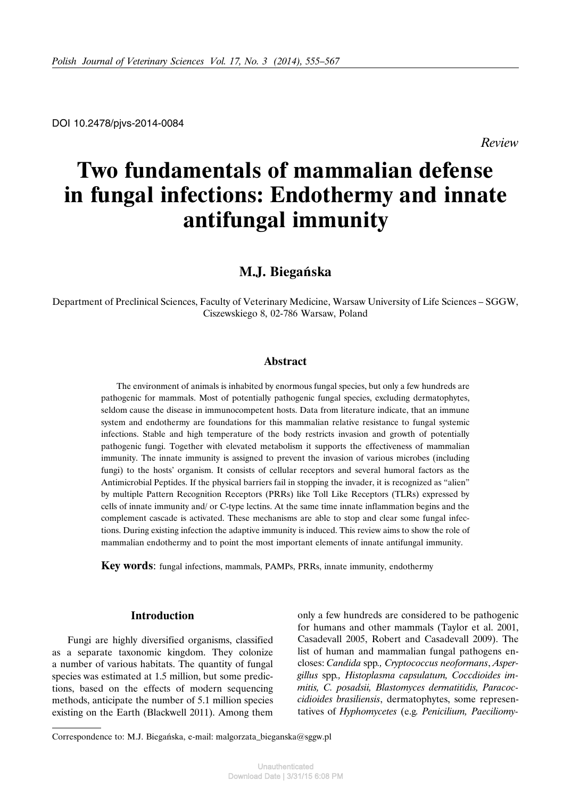DOI 10.2478/pjvs-2014-0084

*Review*

# **Two fundamentals of mammalian defense in fungal infections: Endothermy and innate antifungal immunity**

# **M.J. Biegańska**

Department of Preclinical Sciences, Faculty of Veterinary Medicine, Warsaw University of Life Sciences – SGGW, Ciszewskiego 8, 02-786 Warsaw, Poland

#### **Abstract**

The environment of animals is inhabited by enormous fungal species, but only a few hundreds are pathogenic for mammals. Most of potentially pathogenic fungal species, excluding dermatophytes, seldom cause the disease in immunocompetent hosts. Data from literature indicate, that an immune system and endothermy are foundations for this mammalian relative resistance to fungal systemic infections. Stable and high temperature of the body restricts invasion and growth of potentially pathogenic fungi. Together with elevated metabolism it supports the effectiveness of mammalian immunity. The innate immunity is assigned to prevent the invasion of various microbes (including fungi) to the hosts' organism. It consists of cellular receptors and several humoral factors as the Antimicrobial Peptides. If the physical barriers fail in stopping the invader, it is recognized as "alien" by multiple Pattern Recognition Receptors (PRRs) like Toll Like Receptors (TLRs) expressed by cells of innate immunity and/ or C-type lectins. At the same time innate inflammation begins and the complement cascade is activated. These mechanisms are able to stop and clear some fungal infections. During existing infection the adaptive immunity is induced. This review aims to show the role of mammalian endothermy and to point the most important elements of innate antifungal immunity.

**Key words**: fungal infections, mammals, PAMPs, PRRs, innate immunity, endothermy

#### **Introduction**

Fungi are highly diversified organisms, classified as a separate taxonomic kingdom. They colonize a number of various habitats. The quantity of fungal species was estimated at 1.5 million, but some predictions, based on the effects of modern sequencing methods, anticipate the number of 5.1 million species existing on the Earth (Blackwell 2011). Among them only a few hundreds are considered to be pathogenic for humans and other mammals (Taylor et al. 2001, Casadevall 2005, Robert and Casadevall 2009). The list of human and mammalian fungal pathogens encloses: *Candida* spp*., Cryptococcus neoformans*, *Aspergillus* spp*., Histoplasma capsulatum, Coccdioides immitis, C. posadsii, Blastomyces dermatitidis, Paracoccidioides brasiliensis*, dermatophytes, some representatives of *Hyphomycetes* (e.g*. Penicilium, Paeciliomy-*

Correspondence to: M.J. Biegańska, e-mail: malgorzata–bieganska@sggw.pl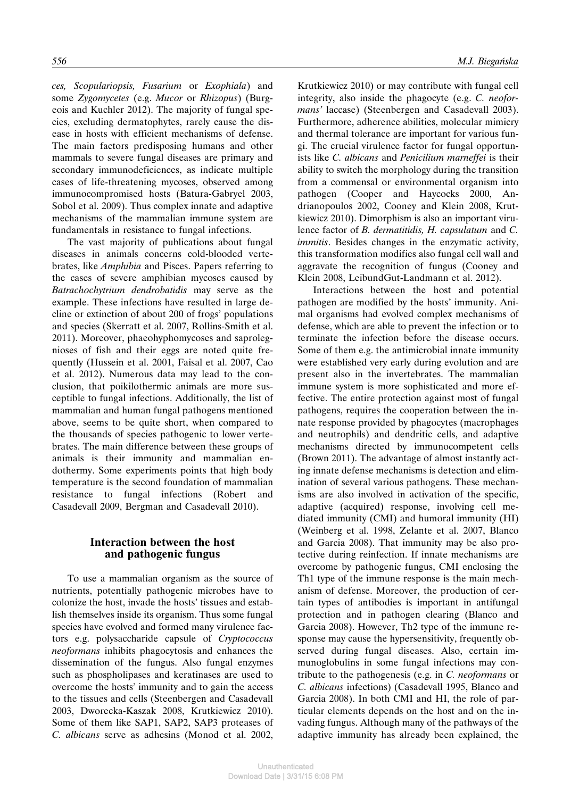*ces, Scopulariopsis, Fusarium* or *Exophiala*) and some *Zygomycetes* (e.g. *Mucor* or *Rhizopus*) (Burgeois and Kuchler 2012). The majority of fungal species, excluding dermatophytes, rarely cause the disease in hosts with efficient mechanisms of defense. The main factors predisposing humans and other mammals to severe fungal diseases are primary and secondary immunodeficiences, as indicate multiple cases of life-threatening mycoses, observed among immunocompromised hosts (Batura-Gabryel 2003, Sobol et al. 2009). Thus complex innate and adaptive mechanisms of the mammalian immune system are fundamentals in resistance to fungal infections.

The vast majority of publications about fungal diseases in animals concerns cold-blooded vertebrates, like *Amphibia* and Pisces. Papers referring to the cases of severe amphibian mycoses caused by *Batrachochytrium dendrobatidis* may serve as the example. These infections have resulted in large decline or extinction of about 200 of frogs' populations and species (Skerratt et al. 2007, Rollins-Smith et al. 2011). Moreover, phaeohyphomycoses and saprolegnioses of fish and their eggs are noted quite frequently (Hussein et al. 2001, Faisal et al. 2007, Cao et al. 2012). Numerous data may lead to the conclusion, that poikilothermic animals are more susceptible to fungal infections. Additionally, the list of mammalian and human fungal pathogens mentioned above, seems to be quite short, when compared to the thousands of species pathogenic to lower vertebrates. The main difference between these groups of animals is their immunity and mammalian endothermy. Some experiments points that high body temperature is the second foundation of mammalian resistance to fungal infections (Robert and Casadevall 2009, Bergman and Casadevall 2010).

# **Interaction between the host and pathogenic fungus**

To use a mammalian organism as the source of nutrients, potentially pathogenic microbes have to colonize the host, invade the hosts' tissues and establish themselves inside its organism. Thus some fungal species have evolved and formed many virulence factors e.g. polysaccharide capsule of *Cryptococcus neoformans* inhibits phagocytosis and enhances the dissemination of the fungus. Also fungal enzymes such as phospholipases and keratinases are used to overcome the hosts' immunity and to gain the access to the tissues and cells (Steenbergen and Casadevall 2003, Dworecka-Kaszak 2008, Krutkiewicz 2010). Some of them like SAP1, SAP2, SAP3 proteases of *C. albicans* serve as adhesins (Monod et al. 2002, Krutkiewicz 2010) or may contribute with fungal cell integrity, also inside the phagocyte (e.g. *C. neoformans'* laccase) (Steenbergen and Casadevall 2003). Furthermore, adherence abilities, molecular mimicry and thermal tolerance are important for various fungi. The crucial virulence factor for fungal opportunists like *C. albicans* and *Penicilium marneffei* is their ability to switch the morphology during the transition from a commensal or environmental organism into pathogen (Cooper and Haycocks 2000, Andrianopoulos 2002, Cooney and Klein 2008, Krutkiewicz 2010). Dimorphism is also an important virulence factor of *B. dermatitidis, H. capsulatum* and *C. immitis*. Besides changes in the enzymatic activity, this transformation modifies also fungal cell wall and aggravate the recognition of fungus (Cooney and Klein 2008, LeibundGut-Landmann et al. 2012).

Interactions between the host and potential pathogen are modified by the hosts' immunity. Animal organisms had evolved complex mechanisms of defense, which are able to prevent the infection or to terminate the infection before the disease occurs. Some of them e.g. the antimicrobial innate immunity were established very early during evolution and are present also in the invertebrates. The mammalian immune system is more sophisticated and more effective. The entire protection against most of fungal pathogens, requires the cooperation between the innate response provided by phagocytes (macrophages and neutrophils) and dendritic cells, and adaptive mechanisms directed by immunocompetent cells (Brown 2011). The advantage of almost instantly acting innate defense mechanisms is detection and elimination of several various pathogens. These mechanisms are also involved in activation of the specific, adaptive (acquired) response, involving cell mediated immunity (CMI) and humoral immunity (HI) (Weinberg et al. 1998, Zelante et al. 2007, Blanco and Garcia 2008). That immunity may be also protective during reinfection. If innate mechanisms are overcome by pathogenic fungus, CMI enclosing the Th1 type of the immune response is the main mechanism of defense. Moreover, the production of certain types of antibodies is important in antifungal protection and in pathogen clearing (Blanco and Garcia 2008). However, Th2 type of the immune response may cause the hypersensitivity, frequently observed during fungal diseases. Also, certain immunoglobulins in some fungal infections may contribute to the pathogenesis (e.g. in *C. neoformans* or *C. albicans* infections) (Casadevall 1995, Blanco and Garcia 2008). In both CMI and HI, the role of particular elements depends on the host and on the invading fungus. Although many of the pathways of the adaptive immunity has already been explained, the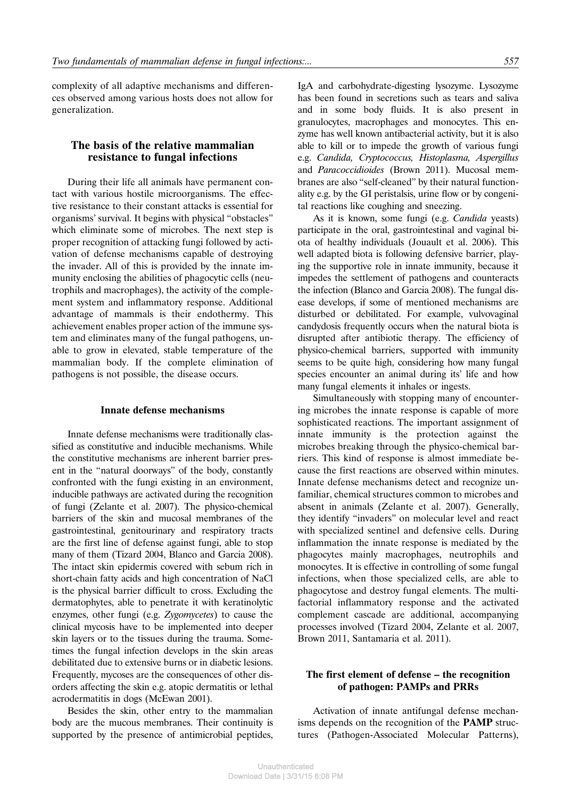complexity of all adaptive mechanisms and differences observed among various hosts does not allow for generalization.

# **The basis of the relative mammalian resistance to fungal infections**

During their life all animals have permanent contact with various hostile microorganisms. The effective resistance to their constant attacks is essential for organisms' survival. It begins with physical "obstacles" which eliminate some of microbes. The next step is proper recognition of attacking fungi followed by activation of defense mechanisms capable of destroying the invader. All of this is provided by the innate immunity enclosing the abilities of phagocytic cells (neutrophils and macrophages), the activity of the complement system and inflammatory response. Additional advantage of mammals is their endothermy. This achievement enables proper action of the immune system and eliminates many of the fungal pathogens, unable to grow in elevated, stable temperature of the mammalian body. If the complete elimination of pathogens is not possible, the disease occurs.

#### **Innate defense mechanisms**

Innate defense mechanisms were traditionally classified as constitutive and inducible mechanisms. While the constitutive mechanisms are inherent barrier present in the "natural doorways" of the body, constantly confronted with the fungi existing in an environment, inducible pathways are activated during the recognition of fungi (Zelante et al. 2007). The physico-chemical barriers of the skin and mucosal membranes of the gastrointestinal, genitourinary and respiratory tracts are the first line of defense against fungi, able to stop many of them (Tizard 2004, Blanco and Garcia 2008). The intact skin epidermis covered with sebum rich in short-chain fatty acids and high concentration of NaCl is the physical barrier difficult to cross. Excluding the dermatophytes, able to penetrate it with keratinolytic enzymes, other fungi (e.g. *Zygomycetes*) to cause the clinical mycosis have to be implemented into deeper skin layers or to the tissues during the trauma. Sometimes the fungal infection develops in the skin areas debilitated due to extensive burns or in diabetic lesions. Frequently, mycoses are the consequences of other disorders affecting the skin e.g. atopic dermatitis or lethal acrodermatitis in dogs (McEwan 2001).

Besides the skin, other entry to the mammalian body are the mucous membranes. Their continuity is supported by the presence of antimicrobial peptides, IgA and carbohydrate-digesting lysozyme. Lysozyme has been found in secretions such as tears and saliva and in some body fluids. It is also present in granulocytes, macrophages and monocytes. This enzyme has well known antibacterial activity, but it is also able to kill or to impede the growth of various fungi e.g. *Candida, Cryptococcus, Histoplasma, Aspergillus* and *Paracoccidioides* (Brown 2011). Mucosal membranes are also "self-cleaned" by their natural functionality e.g. by the GI peristalsis, urine flow or by congenital reactions like coughing and sneezing.

As it is known, some fungi (e.g. *Candida* yeasts) participate in the oral, gastrointestinal and vaginal biota of healthy individuals (Jouault et al. 2006). This well adapted biota is following defensive barrier, playing the supportive role in innate immunity, because it impedes the settlement of pathogens and counteracts the infection (Blanco and Garcia 2008). The fungal disease develops, if some of mentioned mechanisms are disturbed or debilitated. For example, vulvovaginal candydosis frequently occurs when the natural biota is disrupted after antibiotic therapy. The efficiency of physico-chemical barriers, supported with immunity seems to be quite high, considering how many fungal species encounter an animal during its' life and how many fungal elements it inhales or ingests.

Simultaneously with stopping many of encountering microbes the innate response is capable of more sophisticated reactions. The important assignment of innate immunity is the protection against the microbes breaking through the physico-chemical barriers. This kind of response is almost immediate because the first reactions are observed within minutes. Innate defense mechanisms detect and recognize unfamiliar, chemical structures common to microbes and absent in animals (Zelante et al. 2007). Generally, they identify "invaders" on molecular level and react with specialized sentinel and defensive cells. During inflammation the innate response is mediated by the phagocytes mainly macrophages, neutrophils and monocytes. It is effective in controlling of some fungal infections, when those specialized cells, are able to phagocytose and destroy fungal elements. The multifactorial inflammatory response and the activated complement cascade are additional, accompanying processes involved (Tizard 2004, Zelante et al. 2007, Brown 2011, Santamaria et al. 2011).

## **The first element of defense – the recognition of pathogen: PAMPs and PRRs**

Activation of innate antifungal defense mechanisms depends on the recognition of the **PAMP** structures (Pathogen-Associated Molecular Patterns),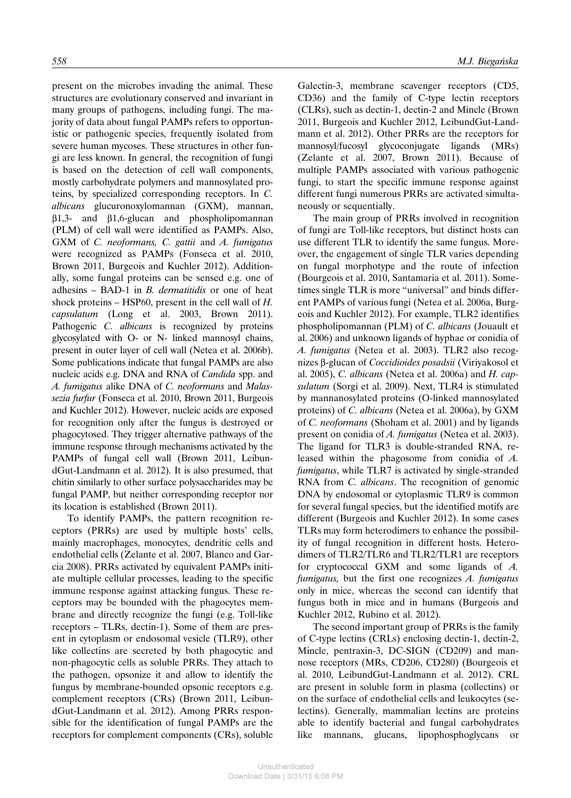present on the microbes invading the animal. These structures are evolutionary conserved and invariant in many groups of pathogens, including fungi. The majority of data about fungal PAMPs refers to opportunistic or pathogenic species, frequently isolated from severe human mycoses. These structures in other fungi are less known. In general, the recognition of fungi is based on the detection of cell wall components, mostly carbohydrate polymers and mannosylated proteins, by specialized corresponding receptors. In *C. albicans* glucuronoxylomannan (GXM), mannan, β1,3- and β1,6-glucan and phospholipomannan (PLM) of cell wall were identified as PAMPs. Also, GXM of *C. neoformans, C. gattii* and *A. fumigatus* were recognized as PAMPs (Fonseca et al. 2010, Brown 2011, Burgeois and Kuchler 2012). Additionally, some fungal proteins can be sensed e.g. one of adhesins – BAD-1 in *B. dermatitidis* or one of heat shock proteins – HSP60, present in the cell wall of *H. capsulatum* (Long et al. 2003, Brown 2011). Pathogenic *C. albicans* is recognized by proteins glycosylated with O- or N- linked mannosyl chains, present in outer layer of cell wall (Netea et al. 2006b). Some publications indicate that fungal PAMPs are also nucleic acids e.g. DNA and RNA of *Candida* spp. and *A. fumigatus* alike DNA of *C. neoformans* and *Malassezia furfur* (Fonseca et al. 2010, Brown 2011, Burgeois and Kuchler 2012). However, nucleic acids are exposed for recognition only after the fungus is destroyed or phagocytosed. They trigger alternative pathways of the immune response through mechanisms activated by the PAMPs of fungal cell wall (Brown 2011, LeibundGut-Landmann et al. 2012). It is also presumed, that chitin similarly to other surface polysaccharides may be fungal PAMP, but neither corresponding receptor nor its location is established (Brown 2011).

To identify PAMPs, the pattern recognition receptors (PRRs) are used by multiple hosts' cells, mainly macrophages, monocytes, dendritic cells and endothelial cells (Zelante et al. 2007, Blanco and Garcia 2008). PRRs activated by equivalent PAMPs initiate multiple cellular processes, leading to the specific immune response against attacking fungus. These receptors may be bounded with the phagocytes membrane and directly recognize the fungi (e.g. Toll-like receptors – TLRs, dectin-1). Some of them are present in cytoplasm or endosomal vesicle (TLR9), other like collectins are secreted by both phagocytic and non-phagocytic cells as soluble PRRs. They attach to the pathogen, opsonize it and allow to identify the fungus by membrane-bounded opsonic receptors e.g. complement receptors (CRs) (Brown 2011, LeibundGut-Landmann et al. 2012). Among PRRs responsible for the identification of fungal PAMPs are the receptors for complement components (CRs), soluble

Galectin-3, membrane scavenger receptors (CD5, CD36) and the family of C-type lectin receptors (CLRs), such as dectin-1, dectin-2 and Mincle (Brown 2011, Burgeois and Kuchler 2012, LeibundGut-Landmann et al. 2012). Other PRRs are the receptors for mannosyl/fucosyl glycoconjugate ligands (MRs) (Zelante et al. 2007, Brown 2011). Because of multiple PAMPs associated with various pathogenic fungi, to start the specific immune response against different fungi numerous PRRs are activated simultaneously or sequentially.

The main group of PRRs involved in recognition of fungi are Toll-like receptors, but distinct hosts can use different TLR to identify the same fungus. Moreover, the engagement of single TLR varies depending on fungal morphotype and the route of infection (Bourgeois et al. 2010, Santamaria et al. 2011). Sometimes single TLR is more "universal" and binds different PAMPs of various fungi (Netea et al. 2006a, Burgeois and Kuchler 2012). For example, TLR2 identifies phospholipomannan (PLM) of *C. albicans* (Jouault et al. 2006) and unknown ligands of hyphae or conidia of *A. fumigatus* (Netea et al. 2003). TLR2 also recognizes β-glucan of *Coccidioides posadsii* (Viriyakosol et al. 2005), *C. albicans* (Netea et al. 2006a) and *H. capsulatum* (Sorgi et al. 2009). Next, TLR4 is stimulated by mannanosylated proteins (O-linked mannosylated proteins) of *C. albicans* (Netea et al. 2006a), by GXM of *C. neoformans* (Shoham et al. 2001) and by ligands present on conidia of *A. fumigatus* (Netea et al. 2003). The ligand for TLR3 is double-stranded RNA, released within the phagosome from conidia of *A. fumigatus*, while TLR7 is activated by single-stranded RNA from *C. albicans*. The recognition of genomic DNA by endosomal or cytoplasmic TLR9 is common for several fungal species, but the identified motifs are different (Burgeois and Kuchler 2012). In some cases TLRs may form heterodimers to enhance the possibility of fungal recognition in different hosts. Heterodimers of TLR2/TLR6 and TLR2/TLR1 are receptors for cryptococcal GXM and some ligands of *A. fumigatus,* but the first one recognizes *A. fumigatus* only in mice, whereas the second can identify that fungus both in mice and in humans (Burgeois and Kuchler 2012, Rubino et al. 2012).

The second important group of PRRs is the family of C-type lectins (CRLs) enclosing dectin-1, dectin-2, Mincle, pentraxin-3, DC-SIGN (CD209) and mannose receptors (MRs, CD206, CD280) (Bourgeois et al. 2010, LeibundGut-Landmann et al. 2012). CRL are present in soluble form in plasma (collectins) or on the surface of endothelial cells and leukocytes (selectins). Generally, mammalian lectins are proteins able to identify bacterial and fungal carbohydrates like mannans, glucans, lipophosphoglycans or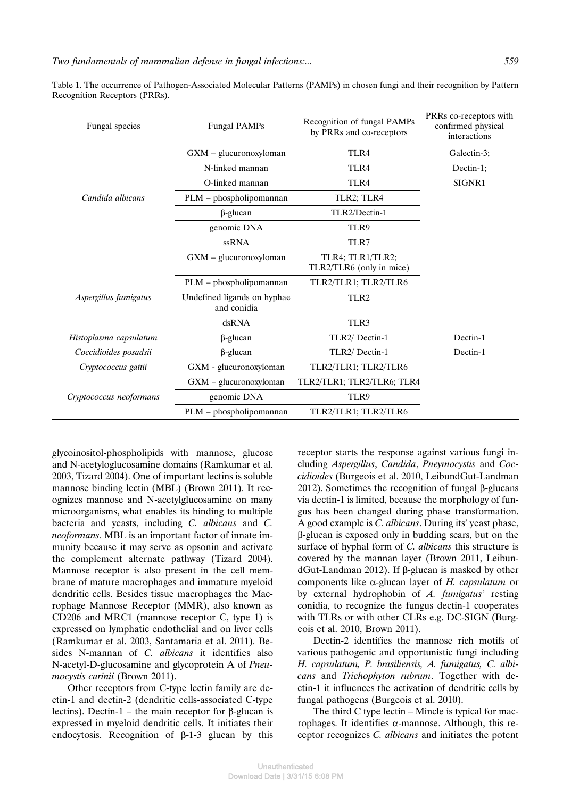| Fungal species          | <b>Fungal PAMPs</b>                        | Recognition of fungal PAMPs<br>by PRRs and co-receptors | PRRs co-receptors with<br>confirmed physical<br>interactions |
|-------------------------|--------------------------------------------|---------------------------------------------------------|--------------------------------------------------------------|
|                         | GXM - glucuronoxyloman                     | TLR4                                                    | Galectin-3:                                                  |
|                         | N-linked mannan                            | TLR4                                                    | Dectin-1;                                                    |
|                         | O-linked mannan                            | TLR4                                                    | SIGNR1                                                       |
| Candida albicans        | PLM - phospholipomannan                    | TLR2; TLR4                                              |                                                              |
|                         | $\beta$ -glucan                            | TLR2/Dectin-1                                           |                                                              |
|                         | genomic DNA                                | TLR9                                                    |                                                              |
|                         | ssRNA                                      | TLR7                                                    |                                                              |
|                         | GXM - glucuronoxyloman                     | TLR4; TLR1/TLR2;<br>TLR2/TLR6 (only in mice)            |                                                              |
|                         | PLM - phospholipomannan                    | TLR2/TLR1; TLR2/TLR6                                    |                                                              |
| Aspergillus fumigatus   | Undefined ligands on hyphae<br>and conidia | TLR <sub>2</sub>                                        |                                                              |
|                         | dsRNA                                      | TLR3                                                    |                                                              |
| Histoplasma capsulatum  | $\beta$ -glucan                            | TLR2/ Dectin-1                                          | Dectin-1                                                     |
| Coccidioides posadsii   | $\beta$ -glucan                            | TLR2/ Dectin-1                                          | Dectin-1                                                     |
| Cryptococcus gattii     | GXM - glucuronoxyloman                     | TLR2/TLR1; TLR2/TLR6                                    |                                                              |
|                         | GXM - glucuronoxyloman                     | TLR2/TLR1; TLR2/TLR6; TLR4                              |                                                              |
| Cryptococcus neoformans | genomic DNA                                | TLR9                                                    |                                                              |
|                         | PLM - phospholipomannan                    | TLR2/TLR1; TLR2/TLR6                                    |                                                              |

Table 1. The occurrence of Pathogen-Associated Molecular Patterns (PAMPs) in chosen fungi and their recognition by Pattern Recognition Receptors (PRRs).

glycoinositol-phospholipids with mannose, glucose and N-acetyloglucosamine domains (Ramkumar et al. 2003, Tizard 2004). One of important lectins is soluble mannose binding lectin (MBL) (Brown 2011). It recognizes mannose and N-acetylglucosamine on many microorganisms, what enables its binding to multiple bacteria and yeasts, including *C. albicans* and *C. neoformans*. MBL is an important factor of innate immunity because it may serve as opsonin and activate the complement alternate pathway (Tizard 2004). Mannose receptor is also present in the cell membrane of mature macrophages and immature myeloid dendritic cells. Besides tissue macrophages the Macrophage Mannose Receptor (MMR), also known as CD206 and MRC1 (mannose receptor C, type 1) is expressed on lymphatic endothelial and on liver cells (Ramkumar et al. 2003, Santamaria et al. 2011). Besides N-mannan of *C. albicans* it identifies also N-acetyl-D-glucosamine and glycoprotein A of *Pneumocystis carinii* (Brown 2011).

Other receptors from C-type lectin family are dectin-1 and dectin-2 (dendritic cells-associated C-type lectins). Dectin-1 – the main receptor for β-glucan is expressed in myeloid dendritic cells. It initiates their endocytosis. Recognition of β-1-3 glucan by this receptor starts the response against various fungi including *Aspergillus*, *Candida*, *Pneymocystis* and *Coccidioides* (Burgeois et al. 2010, LeibundGut-Landman 2012). Sometimes the recognition of fungal β-glucans via dectin-1 is limited, because the morphology of fungus has been changed during phase transformation. A good example is *C. albicans*. During its' yeast phase, β-glucan is exposed only in budding scars, but on the surface of hyphal form of *C. albicans* this structure is covered by the mannan layer (Brown 2011, LeibundGut-Landman 2012). If β-glucan is masked by other components like α-glucan layer of *H. capsulatum* or by external hydrophobin of *A. fumigatus'* resting conidia, to recognize the fungus dectin-1 cooperates with TLRs or with other CLRs e.g. DC-SIGN (Burgeois et al. 2010, Brown 2011).

Dectin-2 identifies the mannose rich motifs of various pathogenic and opportunistic fungi including *H. capsulatum, P. brasiliensis, A. fumigatus, C. albicans* and *Trichophyton rubrum*. Together with dectin-1 it influences the activation of dendritic cells by fungal pathogens (Burgeois et al. 2010).

The third C type lectin – Mincle is typical for macrophages. It identifies α-mannose. Although, this receptor recognizes *C. albicans* and initiates the potent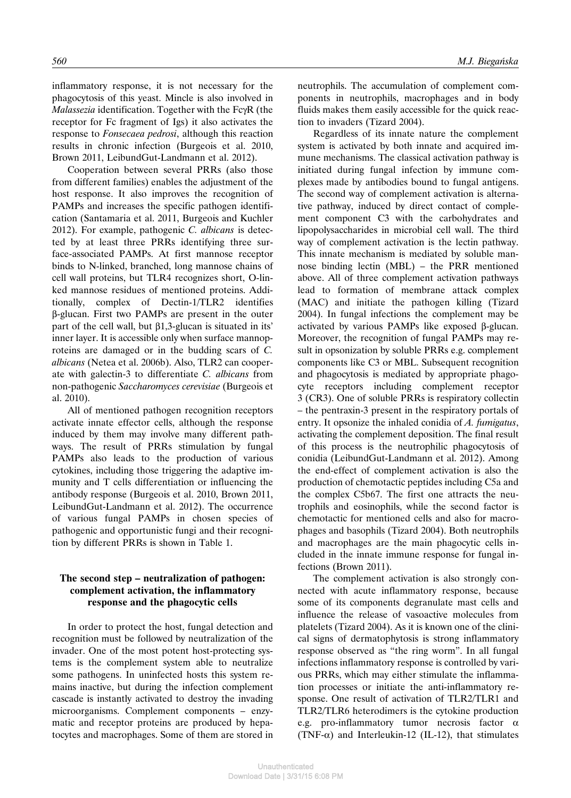inflammatory response, it is not necessary for the phagocytosis of this yeast. Mincle is also involved in *Malassezia* identification. Together with the FcγR (the receptor for Fc fragment of Igs) it also activates the response to *Fonsecaea pedrosi*, although this reaction results in chronic infection (Burgeois et al. 2010, Brown 2011, LeibundGut-Landmann et al. 2012).

Cooperation between several PRRs (also those from different families) enables the adjustment of the host response. It also improves the recognition of PAMPs and increases the specific pathogen identification (Santamaria et al. 2011, Burgeois and Kuchler 2012). For example, pathogenic *C. albicans* is detected by at least three PRRs identifying three surface-associated PAMPs. At first mannose receptor binds to N-linked, branched, long mannose chains of cell wall proteins, but TLR4 recognizes short, O-linked mannose residues of mentioned proteins. Additionally, complex of Dectin-1/TLR2 identifies β-glucan. First two PAMPs are present in the outer part of the cell wall, but β1,3-glucan is situated in its' inner layer. It is accessible only when surface mannoproteins are damaged or in the budding scars of *C. albicans* (Netea et al. 2006b). Also, TLR2 can cooperate with galectin-3 to differentiate *C. albicans* from non-pathogenic *Saccharomyces cerevisiae* (Burgeois et al. 2010).

All of mentioned pathogen recognition receptors activate innate effector cells, although the response induced by them may involve many different pathways. The result of PRRs stimulation by fungal PAMPs also leads to the production of various cytokines, including those triggering the adaptive immunity and T cells differentiation or influencing the antibody response (Burgeois et al. 2010, Brown 2011, LeibundGut-Landmann et al. 2012). The occurrence of various fungal PAMPs in chosen species of pathogenic and opportunistic fungi and their recognition by different PRRs is shown in Table 1.

# **The second step – neutralization of pathogen: complement activation, the inflammatory response and the phagocytic cells**

In order to protect the host, fungal detection and recognition must be followed by neutralization of the invader. One of the most potent host-protecting systems is the complement system able to neutralize some pathogens. In uninfected hosts this system remains inactive, but during the infection complement cascade is instantly activated to destroy the invading microorganisms. Complement components – enzymatic and receptor proteins are produced by hepatocytes and macrophages. Some of them are stored in neutrophils. The accumulation of complement components in neutrophils, macrophages and in body fluids makes them easily accessible for the quick reaction to invaders (Tizard 2004).

Regardless of its innate nature the complement system is activated by both innate and acquired immune mechanisms. The classical activation pathway is initiated during fungal infection by immune complexes made by antibodies bound to fungal antigens. The second way of complement activation is alternative pathway, induced by direct contact of complement component C3 with the carbohydrates and lipopolysaccharides in microbial cell wall. The third way of complement activation is the lectin pathway. This innate mechanism is mediated by soluble mannose binding lectin (MBL) – the PRR mentioned above. All of three complement activation pathways lead to formation of membrane attack complex (MAC) and initiate the pathogen killing (Tizard 2004). In fungal infections the complement may be activated by various PAMPs like exposed β-glucan. Moreover, the recognition of fungal PAMPs may result in opsonization by soluble PRRs e.g. complement components like C3 or MBL. Subsequent recognition and phagocytosis is mediated by appropriate phagocyte receptors including complement receptor 3 (CR3). One of soluble PRRs is respiratory collectin – the pentraxin-3 present in the respiratory portals of entry. It opsonize the inhaled conidia of *A. fumigatus*, activating the complement deposition. The final result of this process is the neutrophilic phagocytosis of conidia (LeibundGut-Landmann et al. 2012). Among the end-effect of complement activation is also the production of chemotactic peptides including C5a and the complex C5b67. The first one attracts the neutrophils and eosinophils, while the second factor is chemotactic for mentioned cells and also for macrophages and basophils (Tizard 2004). Both neutrophils and macrophages are the main phagocytic cells included in the innate immune response for fungal infections (Brown 2011).

The complement activation is also strongly connected with acute inflammatory response, because some of its components degranulate mast cells and influence the release of vasoactive molecules from platelets (Tizard 2004). As it is known one of the clinical signs of dermatophytosis is strong inflammatory response observed as "the ring worm". In all fungal infections inflammatory response is controlled by various PRRs, which may either stimulate the inflammation processes or initiate the anti-inflammatory response. One result of activation of TLR2/TLR1 and TLR2/TLR6 heterodimers is the cytokine production e.g. pro-inflammatory tumor necrosis factor  $\alpha$ (TNF- $\alpha$ ) and Interleukin-12 (IL-12), that stimulates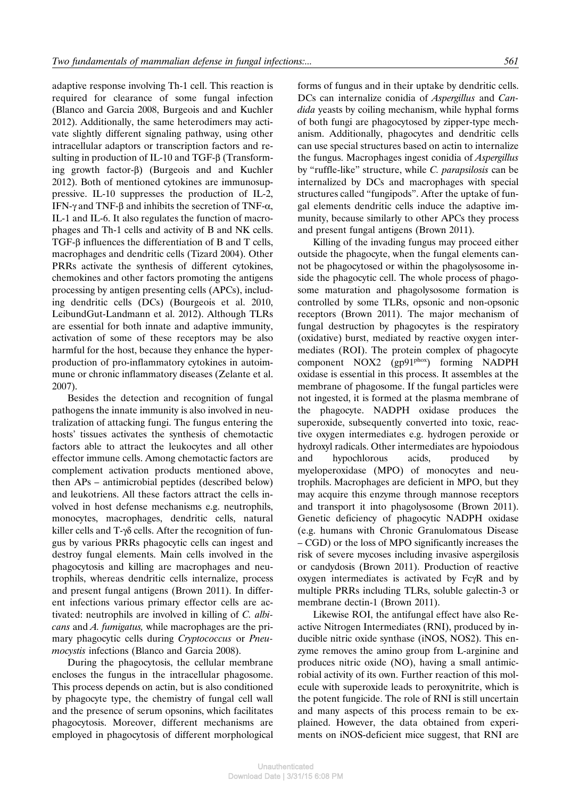adaptive response involving Th-1 cell. This reaction is required for clearance of some fungal infection (Blanco and Garcia 2008, Burgeois and and Kuchler 2012). Additionally, the same heterodimers may activate slightly different signaling pathway, using other intracellular adaptors or transcription factors and resulting in production of IL-10 and TGF-β (Transforming growth factor-β) (Burgeois and and Kuchler 2012). Both of mentioned cytokines are immunosuppressive. IL-10 suppresses the production of IL-2, IFN- $\gamma$  and TNF- $\beta$  and inhibits the secretion of TNF- $\alpha$ , IL-1 and IL-6. It also regulates the function of macrophages and Th-1 cells and activity of B and NK cells. TGF-β influences the differentiation of B and T cells, macrophages and dendritic cells (Tizard 2004). Other PRRs activate the synthesis of different cytokines, chemokines and other factors promoting the antigens processing by antigen presenting cells (APCs), including dendritic cells (DCs) (Bourgeois et al. 2010, LeibundGut-Landmann et al. 2012). Although TLRs are essential for both innate and adaptive immunity, activation of some of these receptors may be also harmful for the host, because they enhance the hyperproduction of pro-inflammatory cytokines in autoimmune or chronic inflammatory diseases (Zelante et al. 2007).

Besides the detection and recognition of fungal pathogens the innate immunity is also involved in neutralization of attacking fungi. The fungus entering the hosts' tissues activates the synthesis of chemotactic factors able to attract the leukocytes and all other effector immune cells. Among chemotactic factors are complement activation products mentioned above, then APs – antimicrobial peptides (described below) and leukotriens. All these factors attract the cells involved in host defense mechanisms e.g. neutrophils, monocytes, macrophages, dendritic cells, natural killer cells and T-γδ cells. After the recognition of fungus by various PRRs phagocytic cells can ingest and destroy fungal elements. Main cells involved in the phagocytosis and killing are macrophages and neutrophils, whereas dendritic cells internalize, process and present fungal antigens (Brown 2011). In different infections various primary effector cells are activated: neutrophils are involved in killing of *C. albicans* and *A. fumigatus,* while macrophages are the primary phagocytic cells during *Cryptococcus* or *Pneumocystis* infections (Blanco and Garcia 2008).

During the phagocytosis, the cellular membrane encloses the fungus in the intracellular phagosome. This process depends on actin, but is also conditioned by phagocyte type, the chemistry of fungal cell wall and the presence of serum opsonins, which facilitates phagocytosis. Moreover, different mechanisms are employed in phagocytosis of different morphological forms of fungus and in their uptake by dendritic cells. DCs can internalize conidia of *Aspergillus* and *Candida* yeasts by coiling mechanism, while hyphal forms of both fungi are phagocytosed by zipper-type mechanism. Additionally, phagocytes and dendritic cells can use special structures based on actin to internalize the fungus. Macrophages ingest conidia of *Aspergillus* by "ruffle-like" structure, while *C. parapsilosis* can be internalized by DCs and macrophages with special structures called "fungipods". After the uptake of fungal elements dendritic cells induce the adaptive immunity, because similarly to other APCs they process and present fungal antigens (Brown 2011).

Killing of the invading fungus may proceed either outside the phagocyte, when the fungal elements cannot be phagocytosed or within the phagolysosome inside the phagocytic cell. The whole process of phagosome maturation and phagolysosome formation is controlled by some TLRs, opsonic and non-opsonic receptors (Brown 2011). The major mechanism of fungal destruction by phagocytes is the respiratory (oxidative) burst, mediated by reactive oxygen intermediates (ROI). The protein complex of phagocyte component NOX2 (gp91phox) forming NADPH oxidase is essential in this process. It assembles at the membrane of phagosome. If the fungal particles were not ingested, it is formed at the plasma membrane of the phagocyte. NADPH oxidase produces the superoxide, subsequently converted into toxic, reactive oxygen intermediates e.g. hydrogen peroxide or hydroxyl radicals. Other intermediates are hypoiodous and hypochlorous acids, produced by myeloperoxidase (MPO) of monocytes and neutrophils. Macrophages are deficient in MPO, but they may acquire this enzyme through mannose receptors and transport it into phagolysosome (Brown 2011). Genetic deficiency of phagocytic NADPH oxidase (e.g. humans with Chronic Granulomatous Disease – CGD) or the loss of MPO significantly increases the risk of severe mycoses including invasive aspergilosis or candydosis (Brown 2011). Production of reactive oxygen intermediates is activated by FcγR and by multiple PRRs including TLRs, soluble galectin-3 or membrane dectin-1 (Brown 2011).

Likewise ROI, the antifungal effect have also Reactive Nitrogen Intermediates (RNI), produced by inducible nitric oxide synthase (iNOS, NOS2). This enzyme removes the amino group from L-arginine and produces nitric oxide (NO), having a small antimicrobial activity of its own. Further reaction of this molecule with superoxide leads to peroxynitrite, which is the potent fungicide. The role of RNI is still uncertain and many aspects of this process remain to be explained. However, the data obtained from experiments on iNOS-deficient mice suggest, that RNI are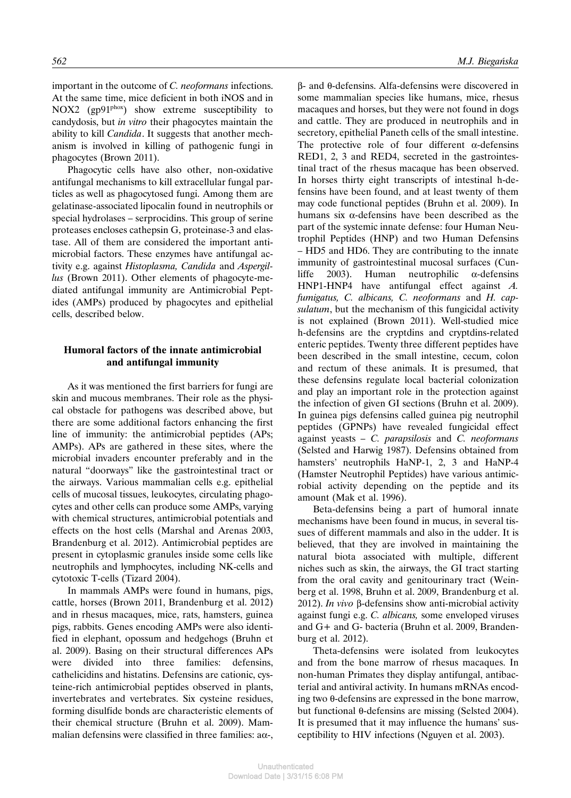important in the outcome of *C. neoformans* infections. At the same time, mice deficient in both iNOS and in NOX2 (gp91<sup>phox</sup>) show extreme susceptibility to candydosis, but *in vitro* their phagocytes maintain the ability to kill *Candida*. It suggests that another mechanism is involved in killing of pathogenic fungi in phagocytes (Brown 2011).

Phagocytic cells have also other, non-oxidative antifungal mechanisms to kill extracellular fungal particles as well as phagocytosed fungi. Among them are gelatinase-associated lipocalin found in neutrophils or special hydrolases – serprocidins. This group of serine proteases encloses cathepsin G, proteinase-3 and elastase. All of them are considered the important antimicrobial factors. These enzymes have antifungal activity e.g. against *Histoplasma, Candida* and *Aspergillus* (Brown 2011). Other elements of phagocyte-mediated antifungal immunity are Antimicrobial Peptides (AMPs) produced by phagocytes and epithelial cells, described below.

# **Humoral factors of the innate antimicrobial and antifungal immunity**

As it was mentioned the first barriers for fungi are skin and mucous membranes. Their role as the physical obstacle for pathogens was described above, but there are some additional factors enhancing the first line of immunity: the antimicrobial peptides (APs; AMPs). APs are gathered in these sites, where the microbial invaders encounter preferably and in the natural "doorways" like the gastrointestinal tract or the airways. Various mammalian cells e.g. epithelial cells of mucosal tissues, leukocytes, circulating phagocytes and other cells can produce some AMPs, varying with chemical structures, antimicrobial potentials and effects on the host cells (Marshal and Arenas 2003, Brandenburg et al. 2012). Antimicrobial peptides are present in cytoplasmic granules inside some cells like neutrophils and lymphocytes, including NK-cells and cytotoxic T-cells (Tizard 2004).

In mammals AMPs were found in humans, pigs, cattle, horses (Brown 2011, Brandenburg et al. 2012) and in rhesus macaques, mice, rats, hamsters, guinea pigs, rabbits. Genes encoding AMPs were also identified in elephant, opossum and hedgehogs (Bruhn et al. 2009). Basing on their structural differences APs were divided into three families: defensins, cathelicidins and histatins. Defensins are cationic, cysteine-rich antimicrobial peptides observed in plants, invertebrates and vertebrates. Six cysteine residues, forming disulfide bonds are characteristic elements of their chemical structure (Bruhn et al. 2009). Mammalian defensins were classified in three families:  $a\alpha$ -,

β- and θ-defensins. Alfa-defensins were discovered in some mammalian species like humans, mice, rhesus macaques and horses, but they were not found in dogs and cattle. They are produced in neutrophils and in secretory, epithelial Paneth cells of the small intestine. The protective role of four different  $\alpha$ -defensins RED1, 2, 3 and RED4, secreted in the gastrointestinal tract of the rhesus macaque has been observed. In horses thirty eight transcripts of intestinal h-defensins have been found, and at least twenty of them may code functional peptides (Bruhn et al. 2009). In humans six  $\alpha$ -defensins have been described as the part of the systemic innate defense: four Human Neutrophil Peptides (HNP) and two Human Defensins – HD5 and HD6. They are contributing to the innate immunity of gastrointestinal mucosal surfaces (Cunliffe 2003). Human neutrophilic  $\alpha$ -defensins HNP1-HNP4 have antifungal effect against *A. fumigatus, C. albicans, C. neoformans* and *H. capsulatum*, but the mechanism of this fungicidal activity is not explained (Brown 2011). Well-studied mice h-defensins are the cryptdins and cryptdins-related enteric peptides. Twenty three different peptides have been described in the small intestine, cecum, colon and rectum of these animals. It is presumed, that these defensins regulate local bacterial colonization and play an important role in the protection against the infection of given GI sections (Bruhn et al. 2009). In guinea pigs defensins called guinea pig neutrophil peptides (GPNPs) have revealed fungicidal effect against yeasts *– C. parapsilosis* and *C. neoformans* (Selsted and Harwig 1987). Defensins obtained from hamsters' neutrophils HaNP-1, 2, 3 and HaNP-4 (Hamster Neutrophil Peptides) have various antimicrobial activity depending on the peptide and its amount (Mak et al. 1996).

Beta-defensins being a part of humoral innate mechanisms have been found in mucus, in several tissues of different mammals and also in the udder. It is believed, that they are involved in maintaining the natural biota associated with multiple, different niches such as skin, the airways, the GI tract starting from the oral cavity and genitourinary tract (Weinberg et al. 1998, Bruhn et al. 2009, Brandenburg et al. 2012). *In vivo* β-defensins show anti-microbial activity against fungi e.g. *C. albicans,* some enveloped viruses and G+ and G- bacteria (Bruhn et al. 2009, Brandenburg et al. 2012).

Theta-defensins were isolated from leukocytes and from the bone marrow of rhesus macaques. In non-human Primates they display antifungal, antibacterial and antiviral activity. In humans mRNAs encoding two θ-defensins are expressed in the bone marrow, but functional θ-defensins are missing (Selsted 2004). It is presumed that it may influence the humans' susceptibility to HIV infections (Nguyen et al. 2003).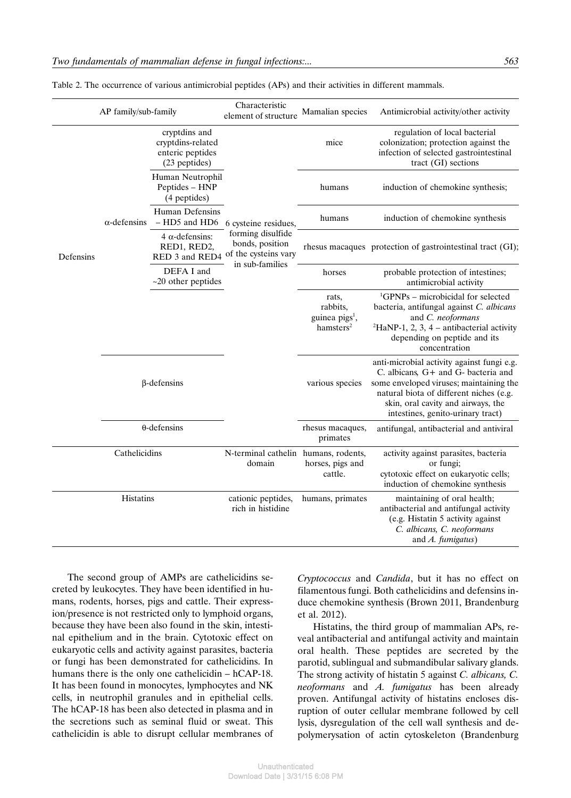| AP family/sub-family |                     | Characteristic<br>element of structure                                  | Mamalian species                                                                                        | Antimicrobial activity/other activity                                                                                                                          |                                                                                                                                                                                                                                                    |  |
|----------------------|---------------------|-------------------------------------------------------------------------|---------------------------------------------------------------------------------------------------------|----------------------------------------------------------------------------------------------------------------------------------------------------------------|----------------------------------------------------------------------------------------------------------------------------------------------------------------------------------------------------------------------------------------------------|--|
| Defensins            | $\alpha$ -defensins | cryptdins and<br>cryptdins-related<br>enteric peptides<br>(23 peptides) | 6 cysteine residues,<br>forming disulfide<br>bonds, position<br>of the cysteins vary<br>in sub-families | mice                                                                                                                                                           | regulation of local bacterial<br>colonization; protection against the<br>infection of selected gastrointestinal<br>tract (GI) sections                                                                                                             |  |
|                      |                     | Human Neutrophil<br>Peptides - HNP<br>(4 peptides)                      |                                                                                                         | humans                                                                                                                                                         | induction of chemokine synthesis;                                                                                                                                                                                                                  |  |
|                      |                     | Human Defensins<br>- HD5 and HD6                                        |                                                                                                         | humans                                                                                                                                                         | induction of chemokine synthesis                                                                                                                                                                                                                   |  |
|                      |                     | $4 \alpha$ -defensins:<br>RED1, RED2,<br>RED 3 and RED4                 |                                                                                                         |                                                                                                                                                                | rhesus macaques protection of gastrointestinal tract (GI);                                                                                                                                                                                         |  |
|                      |                     | DEFA I and<br>$~20$ other peptides                                      |                                                                                                         | horses                                                                                                                                                         | probable protection of intestines;<br>antimicrobial activity                                                                                                                                                                                       |  |
|                      |                     |                                                                         |                                                                                                         | rats,<br>rabbits,<br>guinea pigs <sup>1</sup> ,<br>hamsters <sup>2</sup>                                                                                       | <sup>1</sup> GPNPs – microbicidal for selected<br>bacteria, antifungal against C. albicans<br>and C. neoformans<br>${}^{2}$ HaNP-1, 2, 3, 4 – antibacterial activity<br>depending on peptide and its<br>concentration                              |  |
|                      | $\beta$ -defensins  |                                                                         |                                                                                                         | various species                                                                                                                                                | anti-microbial activity against fungi e.g.<br>C. albicans, G+ and G- bacteria and<br>some enveloped viruses; maintaining the<br>natural biota of different niches (e.g.<br>skin, oral cavity and airways, the<br>intestines, genito-urinary tract) |  |
|                      | $\theta$ -defensins |                                                                         |                                                                                                         | rhesus macaques,<br>primates                                                                                                                                   | antifungal, antibacterial and antiviral                                                                                                                                                                                                            |  |
| Cathelicidins        |                     | N-terminal cathelin humans, rodents,<br>domain                          | horses, pigs and<br>cattle.                                                                             | activity against parasites, bacteria<br>or fungi;<br>cytotoxic effect on eukaryotic cells;<br>induction of chemokine synthesis                                 |                                                                                                                                                                                                                                                    |  |
| Histatins            |                     | cationic peptides,<br>rich in histidine                                 | humans, primates                                                                                        | maintaining of oral health;<br>antibacterial and antifungal activity<br>(e.g. Histatin 5 activity against<br>C. albicans, C. neoformans<br>and $A.$ fumigatus) |                                                                                                                                                                                                                                                    |  |
|                      |                     |                                                                         |                                                                                                         |                                                                                                                                                                |                                                                                                                                                                                                                                                    |  |

| Table 2. The occurrence of various antimicrobial peptides (APs) and their activities in different mammals. |  |  |  |  |  |  |
|------------------------------------------------------------------------------------------------------------|--|--|--|--|--|--|
|------------------------------------------------------------------------------------------------------------|--|--|--|--|--|--|

The second group of AMPs are cathelicidins secreted by leukocytes. They have been identified in humans, rodents, horses, pigs and cattle. Their expression/presence is not restricted only to lymphoid organs, because they have been also found in the skin, intestinal epithelium and in the brain. Cytotoxic effect on eukaryotic cells and activity against parasites, bacteria or fungi has been demonstrated for cathelicidins. In humans there is the only one cathelicidin – hCAP-18. It has been found in monocytes, lymphocytes and NK cells, in neutrophil granules and in epithelial cells. The hCAP-18 has been also detected in plasma and in the secretions such as seminal fluid or sweat. This cathelicidin is able to disrupt cellular membranes of

*Cryptococcus* and *Candida*, but it has no effect on filamentous fungi. Both cathelicidins and defensins induce chemokine synthesis (Brown 2011, Brandenburg et al. 2012).

Histatins, the third group of mammalian APs, reveal antibacterial and antifungal activity and maintain oral health. These peptides are secreted by the parotid, sublingual and submandibular salivary glands. The strong activity of histatin 5 against *C. albicans, C. neoformans* and *A. fumigatus* has been already proven. Antifungal activity of histatins encloses disruption of outer cellular membrane followed by cell lysis, dysregulation of the cell wall synthesis and depolymerysation of actin cytoskeleton (Brandenburg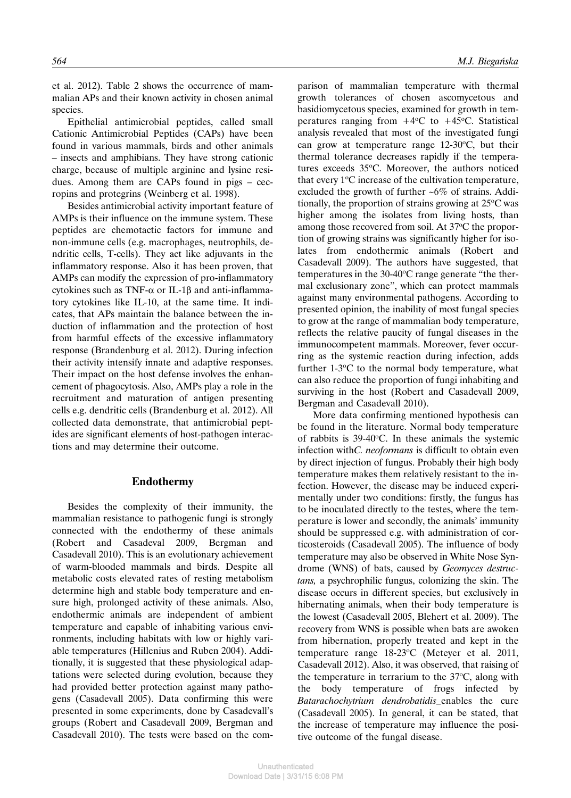et al. 2012). Table 2 shows the occurrence of mammalian APs and their known activity in chosen animal species.

Epithelial antimicrobial peptides, called small Cationic Antimicrobial Peptides (CAPs) have been found in various mammals, birds and other animals – insects and amphibians. They have strong cationic charge, because of multiple arginine and lysine residues. Among them are CAPs found in pigs – cecropins and protegrins (Weinberg et al. 1998).

Besides antimicrobial activity important feature of AMPs is their influence on the immune system. These peptides are chemotactic factors for immune and non-immune cells (e.g. macrophages, neutrophils, dendritic cells, T-cells). They act like adjuvants in the inflammatory response. Also it has been proven, that AMPs can modify the expression of pro-inflammatory cytokines such as TNF-α or IL-1β and anti-inflammatory cytokines like IL-10, at the same time. It indicates, that APs maintain the balance between the induction of inflammation and the protection of host from harmful effects of the excessive inflammatory response (Brandenburg et al. 2012). During infection their activity intensify innate and adaptive responses. Their impact on the host defense involves the enhancement of phagocytosis. Also, AMPs play a role in the recruitment and maturation of antigen presenting cells e.g. dendritic cells (Brandenburg et al. 2012). All collected data demonstrate, that antimicrobial peptides are significant elements of host-pathogen interactions and may determine their outcome.

#### **Endothermy**

Besides the complexity of their immunity, the mammalian resistance to pathogenic fungi is strongly connected with the endothermy of these animals (Robert and Casadeval 2009, Bergman and Casadevall 2010). This is an evolutionary achievement of warm-blooded mammals and birds. Despite all metabolic costs elevated rates of resting metabolism determine high and stable body temperature and ensure high, prolonged activity of these animals. Also, endothermic animals are independent of ambient temperature and capable of inhabiting various environments, including habitats with low or highly variable temperatures (Hillenius and Ruben 2004). Additionally, it is suggested that these physiological adaptations were selected during evolution, because they had provided better protection against many pathogens (Casadevall 2005). Data confirming this were presented in some experiments, done by Casadevall's groups (Robert and Casadevall 2009, Bergman and Casadevall 2010). The tests were based on the comparison of mammalian temperature with thermal growth tolerances of chosen ascomycetous and basidiomycetous species, examined for growth in temperatures ranging from  $+4$ <sup>o</sup>C to  $+45$ <sup>o</sup>C. Statistical analysis revealed that most of the investigated fungi can grow at temperature range  $12\n-30$ °C, but their thermal tolerance decreases rapidly if the temperatures exceeds 35°C. Moreover, the authors noticed that every  $1^{\circ}$ C increase of the cultivation temperature, excluded the growth of further ~6% of strains. Additionally, the proportion of strains growing at  $25^{\circ}$ C was higher among the isolates from living hosts, than among those recovered from soil. At 37°C the proportion of growing strains was significantly higher for isolates from endothermic animals (Robert and Casadevall 2009). The authors have suggested, that temperatures in the  $30-40^{\circ}$ C range generate "the thermal exclusionary zone", which can protect mammals against many environmental pathogens. According to presented opinion, the inability of most fungal species to grow at the range of mammalian body temperature, reflects the relative paucity of fungal diseases in the immunocompetent mammals. Moreover, fever occurring as the systemic reaction during infection, adds further 1-3°C to the normal body temperature, what can also reduce the proportion of fungi inhabiting and surviving in the host (Robert and Casadevall 2009, Bergman and Casadevall 2010).

More data confirming mentioned hypothesis can be found in the literature. Normal body temperature of rabbits is  $39-40^{\circ}$ C. In these animals the systemic infection with*C. neoformans* is difficult to obtain even by direct injection of fungus. Probably their high body temperature makes them relatively resistant to the infection. However, the disease may be induced experimentally under two conditions: firstly, the fungus has to be inoculated directly to the testes, where the temperature is lower and secondly, the animals' immunity should be suppressed e.g. with administration of corticosteroids (Casadevall 2005). The influence of body temperature may also be observed in White Nose Syndrome (WNS) of bats, caused by *Geomyces destructans,* a psychrophilic fungus, colonizing the skin. The disease occurs in different species, but exclusively in hibernating animals, when their body temperature is the lowest (Casadevall 2005, Blehert et al. 2009). The recovery from WNS is possible when bats are awoken from hibernation, properly treated and kept in the temperature range 18-23°C (Meteyer et al. 2011, Casadevall 2012). Also, it was observed, that raising of the temperature in terrarium to the  $37^{\circ}$ C, along with the body temperature of frogs infected by *Batarachochytrium dendrobatidis–*enables the cure (Casadevall 2005). In general, it can be stated, that the increase of temperature may influence the positive outcome of the fungal disease.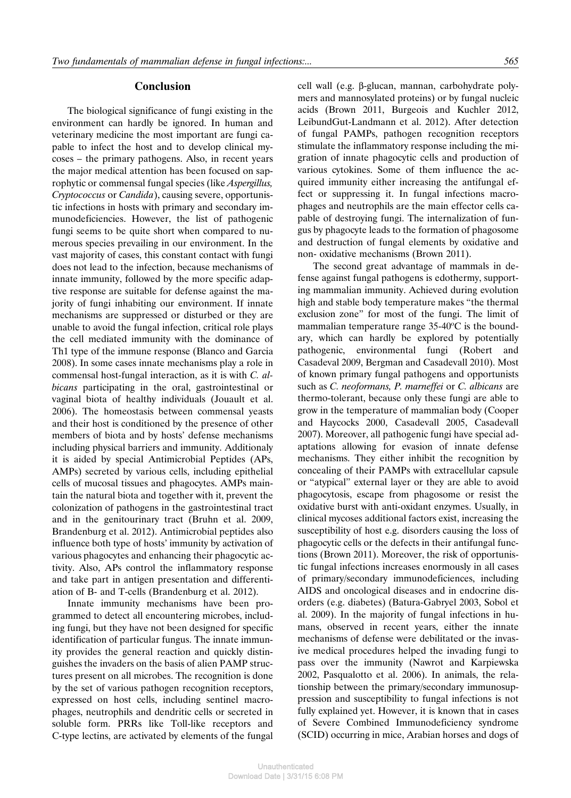### **Conclusion**

The biological significance of fungi existing in the environment can hardly be ignored. In human and veterinary medicine the most important are fungi capable to infect the host and to develop clinical mycoses – the primary pathogens. Also, in recent years the major medical attention has been focused on saprophytic or commensal fungal species (like *Aspergillus, Cryptococcus* or *Candida*), causing severe, opportunistic infections in hosts with primary and secondary immunodeficiencies. However, the list of pathogenic fungi seems to be quite short when compared to numerous species prevailing in our environment. In the vast majority of cases, this constant contact with fungi does not lead to the infection, because mechanisms of innate immunity, followed by the more specific adaptive response are suitable for defense against the majority of fungi inhabiting our environment. If innate mechanisms are suppressed or disturbed or they are unable to avoid the fungal infection, critical role plays the cell mediated immunity with the dominance of Th1 type of the immune response (Blanco and Garcia 2008). In some cases innate mechanisms play a role in commensal host-fungal interaction, as it is with *C. albicans* participating in the oral, gastrointestinal or vaginal biota of healthy individuals (Jouault et al. 2006). The homeostasis between commensal yeasts and their host is conditioned by the presence of other members of biota and by hosts' defense mechanisms including physical barriers and immunity. Additionaly it is aided by special Antimicrobial Peptides (APs, AMPs) secreted by various cells, including epithelial cells of mucosal tissues and phagocytes. AMPs maintain the natural biota and together with it, prevent the colonization of pathogens in the gastrointestinal tract and in the genitourinary tract (Bruhn et al. 2009, Brandenburg et al. 2012). Antimicrobial peptides also influence both type of hosts' immunity by activation of various phagocytes and enhancing their phagocytic activity. Also, APs control the inflammatory response and take part in antigen presentation and differentiation of B- and T-cells (Brandenburg et al. 2012).

Innate immunity mechanisms have been programmed to detect all encountering microbes, including fungi, but they have not been designed for specific identification of particular fungus. The innate immunity provides the general reaction and quickly distinguishes the invaders on the basis of alien PAMP structures present on all microbes. The recognition is done by the set of various pathogen recognition receptors, expressed on host cells, including sentinel macrophages, neutrophils and dendritic cells or secreted in soluble form. PRRs like Toll-like receptors and C-type lectins, are activated by elements of the fungal cell wall (e.g. β-glucan, mannan, carbohydrate polymers and mannosylated proteins) or by fungal nucleic acids (Brown 2011, Burgeois and Kuchler 2012, LeibundGut-Landmann et al. 2012). After detection of fungal PAMPs, pathogen recognition receptors stimulate the inflammatory response including the migration of innate phagocytic cells and production of various cytokines. Some of them influence the acquired immunity either increasing the antifungal effect or suppressing it. In fungal infections macrophages and neutrophils are the main effector cells capable of destroying fungi. The internalization of fungus by phagocyte leads to the formation of phagosome and destruction of fungal elements by oxidative and non- oxidative mechanisms (Brown 2011).

The second great advantage of mammals in defense against fungal pathogens is edothermy, supporting mammalian immunity. Achieved during evolution high and stable body temperature makes "the thermal exclusion zone" for most of the fungi. The limit of mammalian temperature range  $35\n-40^{\circ}\text{C}$  is the boundary, which can hardly be explored by potentially pathogenic, environmental fungi (Robert and Casadeval 2009, Bergman and Casadevall 2010). Most of known primary fungal pathogens and opportunists such as *C. neoformans, P. marneffei* or *C. albicans* are thermo-tolerant, because only these fungi are able to grow in the temperature of mammalian body (Cooper and Haycocks 2000, Casadevall 2005, Casadevall 2007). Moreover, all pathogenic fungi have special adaptations allowing for evasion of innate defense mechanisms. They either inhibit the recognition by concealing of their PAMPs with extracellular capsule or "atypical" external layer or they are able to avoid phagocytosis, escape from phagosome or resist the oxidative burst with anti-oxidant enzymes. Usually, in clinical mycoses additional factors exist, increasing the susceptibility of host e.g. disorders causing the loss of phagocytic cells or the defects in their antifungal functions (Brown 2011). Moreover, the risk of opportunistic fungal infections increases enormously in all cases of primary/secondary immunodeficiences, including AIDS and oncological diseases and in endocrine disorders (e.g. diabetes) (Batura-Gabryel 2003, Sobol et al. 2009). In the majority of fungal infections in humans, observed in recent years, either the innate mechanisms of defense were debilitated or the invasive medical procedures helped the invading fungi to pass over the immunity (Nawrot and Karpiewska 2002, Pasqualotto et al. 2006). In animals, the relationship between the primary/secondary immunosuppression and susceptibility to fungal infections is not fully explained yet. However, it is known that in cases of Severe Combined Immunodeficiency syndrome (SCID) occurring in mice, Arabian horses and dogs of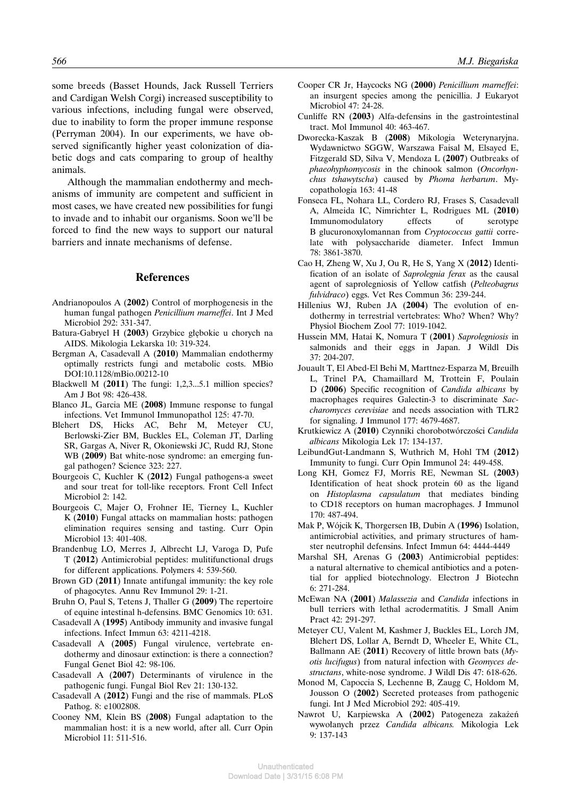some breeds (Basset Hounds, Jack Russell Terriers and Cardigan Welsh Corgi) increased susceptibility to various infections, including fungal were observed, due to inability to form the proper immune response (Perryman 2004). In our experiments, we have observed significantly higher yeast colonization of diabetic dogs and cats comparing to group of healthy animals.

Although the mammalian endothermy and mechanisms of immunity are competent and sufficient in most cases, we have created new possibilities for fungi to invade and to inhabit our organisms. Soon we'll be forced to find the new ways to support our natural barriers and innate mechanisms of defense.

#### **References**

- Andrianopoulos A (**2002**) Control of morphogenesis in the human fungal pathogen *Penicillium marneffei*. Int J Med Microbiol 292: 331-347.
- Batura-Gabryel H (**2003**) Grzybice głębokie u chorych na AIDS. Mikologia Lekarska 10: 319-324.
- Bergman A, Casadevall A (**2010**) Mammalian endothermy optimally restricts fungi and metabolic costs. MBio DOI:10.1128/mBio.00212-10
- Blackwell M (**2011**) The fungi: 1,2,3...5.1 million species? Am J Bot 98: 426-438.
- Blanco JL, Garcia ME (**2008**) Immune response to fungal infections. Vet Immunol Immunopathol 125: 47-70.
- Blehert DS, Hicks AC, Behr M, Meteyer CU, Berlowski-Zier BM, Buckles EL, Coleman JT, Darling SR, Gargas A, Niver R, Okoniewski JC, Rudd RJ, Stone WB (**2009**) Bat white-nose syndrome: an emerging fungal pathogen? Science 323: 227.
- Bourgeois C, Kuchler K (**2012**) Fungal pathogens-a sweet and sour treat for toll-like receptors. Front Cell Infect Microbiol 2: 142.
- Bourgeois C, Majer O, Frohner IE, Tierney L, Kuchler K (**2010**) Fungal attacks on mammalian hosts: pathogen elimination requires sensing and tasting. Curr Opin Microbiol 13: 401-408.
- Brandenbug LO, Merres J, Albrecht LJ, Varoga D, Pufe T (**2012**) Antimicrobial peptides: mulitifunctional drugs for different applications. Polymers 4: 539-560.
- Brown GD (**2011**) Innate antifungal immunity: the key role of phagocytes. Annu Rev Immunol 29: 1-21.
- Bruhn O, Paul S, Tetens J, Thaller G (**2009**) The repertoire of equine intestinal h-defensins. BMC Genomics 10: 631.
- Casadevall A (**1995**) Antibody immunity and invasive fungal infections. Infect Immun 63: 4211-4218.
- Casadevall A (**2005**) Fungal virulence, vertebrate endothermy and dinosaur extinction: is there a connection? Fungal Genet Biol 42: 98-106.
- Casadevall A (**2007**) Determinants of virulence in the pathogenic fungi. Fungal Biol Rev 21: 130-132.
- Casadevall A (**2012**) Fungi and the rise of mammals. PLoS Pathog. 8: e1002808.
- Cooney NM, Klein BS (**2008**) Fungal adaptation to the mammalian host: it is a new world, after all. Curr Opin Microbiol 11: 511-516.
- *566 M.J. Biegańska*
	- Cooper CR Jr, Haycocks NG (**2000**) *Penicillium marneffei*: an insurgent species among the penicillia. J Eukaryot Microbiol 47: 24-28.
	- Cunliffe RN (**2003**) Alfa-defensins in the gastrointestinal tract. Mol Immunol 40: 463-467.
	- Dworecka-Kaszak B (**2008**) Mikologia Weterynaryjna. Wydawnictwo SGGW, Warszawa Faisal M, Elsayed E, Fitzgerald SD, Silva V, Mendoza L (**2007**) Outbreaks of *phaeohyphomycosis* in the chinook salmon (*Oncorhynchus tshawytscha*) caused by *Phoma herbarum*. Mycopathologia 163: 41-48
	- Fonseca FL, Nohara LL, Cordero RJ, Frases S, Casadevall A, Almeida IC, Nimrichter L, Rodrigues ML (**2010**) Immunomodulatory effects of serotype B glucuronoxylomannan from *Cryptococcus gattii* correlate with polysaccharide diameter. Infect Immun 78: 3861-3870.
	- Cao H, Zheng W, Xu J, Ou R, He S, Yang X (**2012**) Identification of an isolate of *Saprolegnia ferax* as the causal agent of saprolegniosis of Yellow catfish (*Pelteobagrus fulvidraco*) eggs. Vet Res Commun 36: 239-244.
	- Hillenius WJ, Ruben JA (**2004**) The evolution of endothermy in terrestrial vertebrates: Who? When? Why? Physiol Biochem Zool 77: 1019-1042.
	- Hussein MM, Hatai K, Nomura T (**2001**) *Saprolegniosis* in salmonids and their eggs in Japan. J Wildl Dis 37: 204-207.
	- Jouault T, El Abed-El Behi M, Marttnez-Esparza M, Breuilh L, Trinel PA, Chamaillard M, Trottein F, Poulain D (**2006**) Specific recognition of *Candida albicans* by macrophages requires Galectin-3 to discriminate *Saccharomyces cerevisiae* and needs association with TLR2 for signaling. J Immunol 177: 4679-4687.
	- Krutkiewicz A (**2010**) Czynniki chorobotwórczości *Candida albicans* Mikologia Lek 17: 134-137.
	- LeibundGut-Landmann S, Wuthrich M, Hohl TM (**2012**) Immunity to fungi. Curr Opin Immunol 24: 449-458.
	- Long KH, Gomez FJ, Morris RE, Newman SL (**2003**) Identification of heat shock protein 60 as the ligand on *Histoplasma capsulatum* that mediates binding to CD18 receptors on human macrophages. J Immunol 170: 487-494.
	- Mak P, Wójcik K, Thorgersen IB, Dubin A (**1996**) Isolation, antimicrobial activities, and primary structures of hamster neutrophil defensins. Infect Immun 64: 4444-4449
	- Marshal SH, Arenas G (**2003**) Antimicrobial peptides: a natural alternative to chemical antibiotics and a potential for applied biotechnology. Electron J Biotechn 6: 271-284.
	- McEwan NA (**2001**) *Malassezia* and *Candida* infections in bull terriers with lethal acrodermatitis. J Small Anim Pract 42: 291-297.
	- Meteyer CU, Valent M, Kashmer J, Buckles EL, Lorch JM, Blehert DS, Lollar A, Berndt D, Wheeler E, White CL, Ballmann AE (**2011**) Recovery of little brown bats (*Myotis lucifugus*) from natural infection with *Geomyces destructans*, white-nose syndrome. J Wildl Dis 47: 618-626.
	- Monod M, Capoccia S, Lechenne B, Zaugg C, Holdom M, Jousson O (**2002**) Secreted proteases from pathogenic fungi. Int J Med Microbiol 292: 405-419.
	- Nawrot U, Karpiewska A (**2002**) Patogeneza zakażeń wywołanych przez *Candida albicans.* Mikologia Lek 9: 137-143